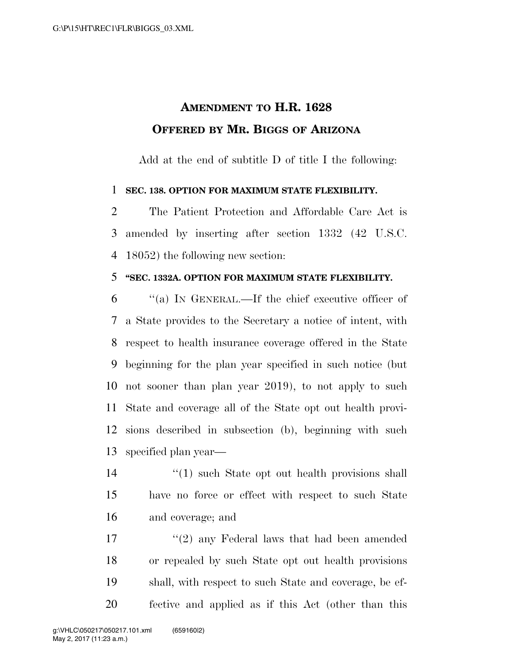## **AMENDMENT TO H.R. 1628 OFFERED BY MR. BIGGS OF ARIZONA**

Add at the end of subtitle D of title I the following:

## **SEC. 138. OPTION FOR MAXIMUM STATE FLEXIBILITY.**

 The Patient Protection and Affordable Care Act is amended by inserting after section 1332 (42 U.S.C. 18052) the following new section:

## **''SEC. 1332A. OPTION FOR MAXIMUM STATE FLEXIBILITY.**

 ''(a) IN GENERAL.—If the chief executive officer of a State provides to the Secretary a notice of intent, with respect to health insurance coverage offered in the State beginning for the plan year specified in such notice (but not sooner than plan year 2019), to not apply to such State and coverage all of the State opt out health provi- sions described in subsection (b), beginning with such specified plan year—

14 ''(1) such State opt out health provisions shall have no force or effect with respect to such State and coverage; and

17 ''(2) any Federal laws that had been amended or repealed by such State opt out health provisions shall, with respect to such State and coverage, be ef-fective and applied as if this Act (other than this